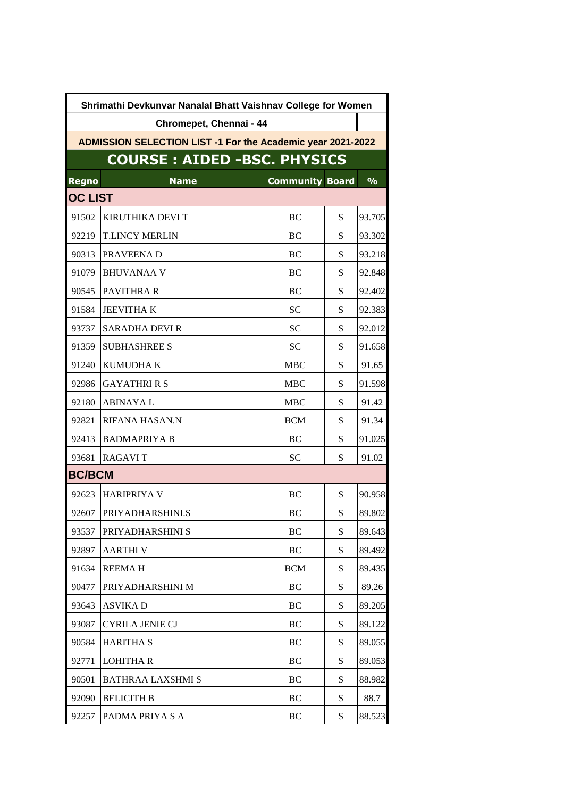| Shrimathi Devkunvar Nanalal Bhatt Vaishnav College for Women       |                          |                        |   |               |  |  |  |
|--------------------------------------------------------------------|--------------------------|------------------------|---|---------------|--|--|--|
| Chromepet, Chennai - 44                                            |                          |                        |   |               |  |  |  |
| <b>ADMISSION SELECTION LIST -1 For the Academic year 2021-2022</b> |                          |                        |   |               |  |  |  |
| <b>COURSE: AIDED -BSC. PHYSICS</b>                                 |                          |                        |   |               |  |  |  |
| <b>Regno</b>                                                       | <b>Name</b>              | <b>Community Board</b> |   | $\frac{9}{6}$ |  |  |  |
| <b>OC LIST</b>                                                     |                          |                        |   |               |  |  |  |
| 91502                                                              | <b>KIRUTHIKA DEVI T</b>  | BC                     | S | 93.705        |  |  |  |
| 92219                                                              | <b>T.LINCY MERLIN</b>    | BC                     | S | 93.302        |  |  |  |
| 90313                                                              | PRAVEENA D               | BC                     | S | 93.218        |  |  |  |
| 91079                                                              | <b>BHUVANAA V</b>        | BC                     | S | 92.848        |  |  |  |
| 90545                                                              | <b>PAVITHRA R</b>        | BC                     | S | 92.402        |  |  |  |
| 91584                                                              | <b>JEEVITHAK</b>         | <b>SC</b>              | S | 92.383        |  |  |  |
| 93737                                                              | <b>SARADHA DEVI R</b>    | <b>SC</b>              | S | 92.012        |  |  |  |
| 91359                                                              | <b>SUBHASHREE S</b>      | <b>SC</b>              | S | 91.658        |  |  |  |
| 91240                                                              | <b>KUMUDHAK</b>          | <b>MBC</b>             | S | 91.65         |  |  |  |
| 92986                                                              | <b>GAYATHRI R S</b>      | <b>MBC</b>             | S | 91.598        |  |  |  |
| 92180                                                              | <b>ABINAYAL</b>          | <b>MBC</b>             | S | 91.42         |  |  |  |
| 92821                                                              | RIFANA HASAN.N           | <b>BCM</b>             | S | 91.34         |  |  |  |
| 92413                                                              | <b>BADMAPRIYA B</b>      | BC                     | S | 91.025        |  |  |  |
| 93681                                                              | <b>RAGAVIT</b>           | <b>SC</b>              | S | 91.02         |  |  |  |
| <b>BC/BCM</b>                                                      |                          |                        |   |               |  |  |  |
| 92623                                                              | <b>HARIPRIYA V</b>       | BC                     | S | 90.958        |  |  |  |
| 92607                                                              | <b>PRIYADHARSHINLS</b>   | BC                     | S | 89.802        |  |  |  |
| 93537                                                              | PRIYADHARSHINI S         | BC                     | S | 89.643        |  |  |  |
| 92897                                                              | <b>AARTHIV</b>           | BC                     | S | 89.492        |  |  |  |
| 91634                                                              | <b>REEMAH</b>            | <b>BCM</b>             | S | 89.435        |  |  |  |
| 90477                                                              | PRIYADHARSHINI M         | <b>BC</b>              | S | 89.26         |  |  |  |
| 93643                                                              | <b>ASVIKAD</b>           | BC                     | S | 89.205        |  |  |  |
| 93087                                                              | <b>CYRILA JENIE CJ</b>   | BC                     | S | 89.122        |  |  |  |
| 90584                                                              | <b>HARITHA S</b>         | BC                     | S | 89.055        |  |  |  |
| 92771                                                              | <b>LOHITHA R</b>         | BC                     | S | 89.053        |  |  |  |
| 90501                                                              | <b>BATHRAA LAXSHMI S</b> | BC                     | S | 88.982        |  |  |  |
| 92090                                                              | <b>BELICITH B</b>        | BC                     | S | 88.7          |  |  |  |
| 92257                                                              | PADMA PRIYA S A          | BC                     | S | 88.523        |  |  |  |